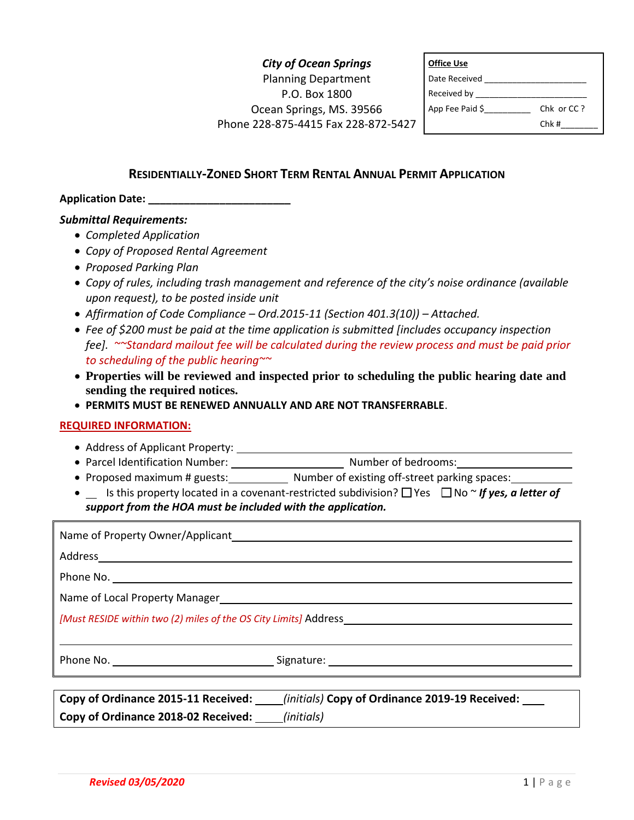# *City of Ocean Springs* Planning Department P.O. Box 1800 Ocean Springs, MS. 39566 Phone 228-875-4415 Fax 228-872-5427

| <b>Office Use</b> |            |
|-------------------|------------|
| Date Received     |            |
| Received by __    |            |
| App Fee Paid \$   | Chk or CC? |
|                   | Chk#       |

## **RESIDENTIALLY-ZONED SHORT TERM RENTAL ANNUAL PERMIT APPLICATION**

## **Application Date: \_\_\_\_\_\_\_\_\_\_\_\_\_\_\_\_\_\_\_\_\_\_\_\_**

## *Submittal Requirements:*

- *Completed Application*
- *Copy of Proposed Rental Agreement*
- *Proposed Parking Plan*
- *Copy of rules, including trash management and reference of the city's noise ordinance (available upon request), to be posted inside unit*
- *Affirmation of Code Compliance – Ord.2015-11 (Section 401.3(10)) – Attached.*
- *Fee of \$200 must be paid at the time application is submitted [includes occupancy inspection fee]. ~~Standard mailout fee will be calculated during the review process and must be paid prior to scheduling of the public hearing~~*
- **Properties will be reviewed and inspected prior to scheduling the public hearing date and sending the required notices.**
- **PERMITS MUST BE RENEWED ANNUALLY AND ARE NOT TRANSFERRABLE**.

#### **REQUIRED INFORMATION:**

- Address of Applicant Property:
- Parcel Identification Number: Number of bedrooms:
- Proposed maximum # guests: Number of existing off-street parking spaces:
- **I**s this property located in a covenant-restricted subdivision?  $\Box$  Yes  $\Box$  No  $\sim$  *If yes, a letter of support from the HOA must be included with the application.*

|  | Copy of Ordinance 2015-11 Received: _____(initials) Copy of Ordinance 2019-19 Received: ____ |  |
|--|----------------------------------------------------------------------------------------------|--|
|  |                                                                                              |  |
|  |                                                                                              |  |
|  |                                                                                              |  |
|  |                                                                                              |  |
|  |                                                                                              |  |
|  |                                                                                              |  |
|  |                                                                                              |  |
|  |                                                                                              |  |
|  |                                                                                              |  |
|  |                                                                                              |  |

**Copy of Ordinance 2018-02 Received:** *(initials)*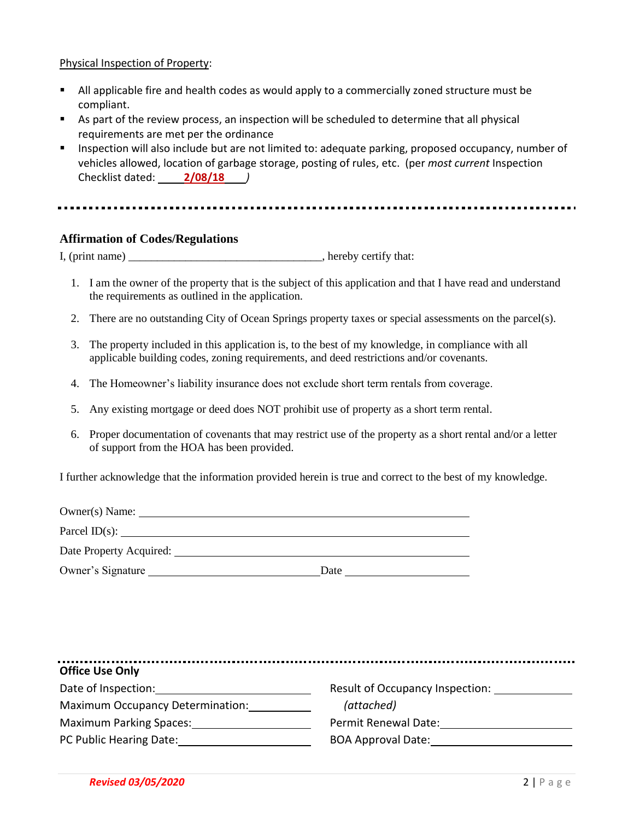## Physical Inspection of Property:

- All applicable fire and health codes as would apply to a commercially zoned structure must be compliant.
- As part of the review process, an inspection will be scheduled to determine that all physical requirements are met per the ordinance
- **Inspection will also include but are not limited to: adequate parking, proposed occupancy, number of** vehicles allowed, location of garbage storage, posting of rules, etc. (per *most current* Inspection Checklist dated: **2/08/18** *)*

#### 

## **Affirmation of Codes/Regulations**

I, (print name) \_\_\_\_\_\_\_\_\_\_\_\_\_\_\_\_\_\_\_\_\_\_\_\_\_\_\_\_\_\_\_\_\_\_, hereby certify that:

- 1. I am the owner of the property that is the subject of this application and that I have read and understand the requirements as outlined in the application.
- 2. There are no outstanding City of Ocean Springs property taxes or special assessments on the parcel(s).
- 3. The property included in this application is, to the best of my knowledge, in compliance with all applicable building codes, zoning requirements, and deed restrictions and/or covenants.
- 4. The Homeowner's liability insurance does not exclude short term rentals from coverage.
- 5. Any existing mortgage or deed does NOT prohibit use of property as a short term rental.
- 6. Proper documentation of covenants that may restrict use of the property as a short rental and/or a letter of support from the HOA has been provided.

I further acknowledge that the information provided herein is true and correct to the best of my knowledge.

| Owner(s) Name:          |      |  |
|-------------------------|------|--|
| Parcel ID(s):           |      |  |
| Date Property Acquired: |      |  |
| Owner's Signature       | Date |  |

| <b>Office Use Only</b>                  |                                 |
|-----------------------------------------|---------------------------------|
| Date of Inspection:                     | Result of Occupancy Inspection: |
| <b>Maximum Occupancy Determination:</b> | (attached)                      |
| <b>Maximum Parking Spaces:</b>          | Permit Renewal Date:            |
| PC Public Hearing Date:                 | <b>BOA Approval Date:</b>       |